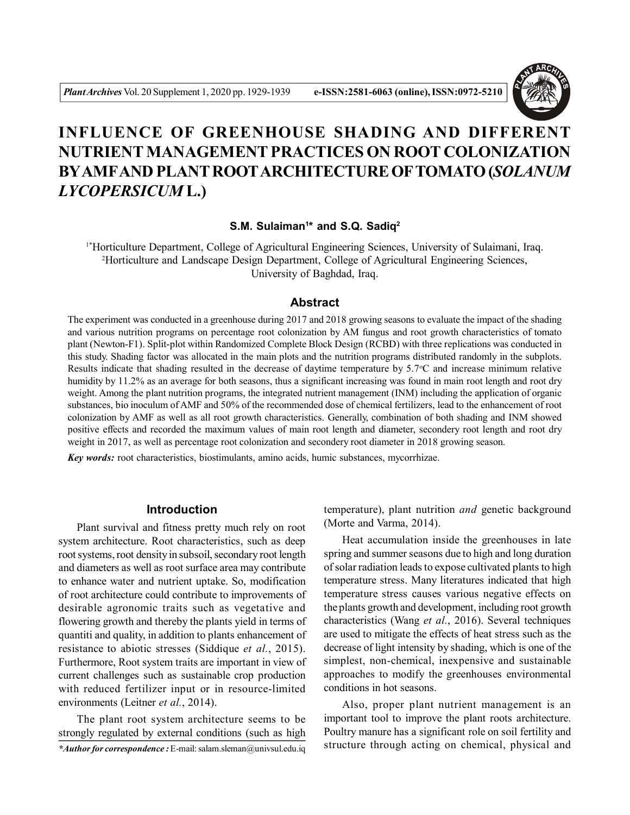

# **INFLUENCE OF GREENHOUSE SHADING AND DIFFERENT NUTRIENT MANAGEMENT PRACTICES ON ROOT COLONIZATION BYAMFAND PLANT ROOTARCHITECTURE OFTOMATO (***SOLANUM LYCOPERSICUM* **L.)**

### **S.M. Sulaiman<sup>1</sup> \* and S.Q. Sadiq<sup>2</sup>**

1\*Horticulture Department, College of Agricultural Engineering Sciences, University of Sulaimani, Iraq. <sup>2</sup>Horticulture and Landscape Design Department, College of Agricultural Engineering Sciences, University of Baghdad, Iraq.

## **Abstract**

The experiment was conducted in a greenhouse during 2017 and 2018 growing seasons to evaluate the impact of the shading and various nutrition programs on percentage root colonization by AM fungus and root growth characteristics of tomato plant (Newton-F1). Split-plot within Randomized Complete Block Design (RCBD) with three replications was conducted in this study. Shading factor was allocated in the main plots and the nutrition programs distributed randomly in the subplots. Results indicate that shading resulted in the decrease of daytime temperature by  $5.7^{\circ}$ C and increase minimum relative humidity by 11.2% as an average for both seasons, thus a significant increasing was found in main root length and root dry weight. Among the plant nutrition programs, the integrated nutrient management (INM) including the application of organic substances, bio inoculum of AMF and 50% of the recommended dose of chemical fertilizers, lead to the enhancement of root colonization by AMF as well as all root growth characteristics. Generally, combination of both shading and INM showed positive effects and recorded the maximum values of main root length and diameter, secondery root length and root dry weight in 2017, as well as percentage root colonization and secondery root diameter in 2018 growing season.

*Key words:* root characteristics, biostimulants, amino acids, humic substances, mycorrhizae.

## **Introduction**

Plant survival and fitness pretty much rely on root system architecture. Root characteristics, such as deep root systems, root density in subsoil, secondary root length and diameters as well as root surface area may contribute to enhance water and nutrient uptake. So, modification of root architecture could contribute to improvements of desirable agronomic traits such as vegetative and flowering growth and thereby the plants yield in terms of quantiti and quality, in addition to plants enhancement of resistance to abiotic stresses (Siddique *et al.*, 2015). Furthermore, Root system traits are important in view of current challenges such as sustainable crop production with reduced fertilizer input or in resource-limited environments (Leitner *et al.*, 2014).

The plant root system architecture seems to be strongly regulated by external conditions (such as high temperature), plant nutrition *and* genetic background (Morte and Varma, 2014).

Heat accumulation inside the greenhouses in late spring and summer seasons due to high and long duration of solar radiation leads to expose cultivated plants to high temperature stress. Many literatures indicated that high temperature stress causes various negative effects on the plants growth and development, including root growth characteristics (Wang *et al.*, 2016). Several techniques are used to mitigate the effects of heat stress such as the decrease of light intensity by shading, which is one of the simplest, non-chemical, inexpensive and sustainable approaches to modify the greenhouses environmental conditions in hot seasons.

Also, proper plant nutrient management is an important tool to improve the plant roots architecture. Poultry manure has a significant role on soil fertility and structure through acting on chemical, physical and

*<sup>\*</sup>Author for correspondence :* E-mail: salam.sleman@univsul.edu.iq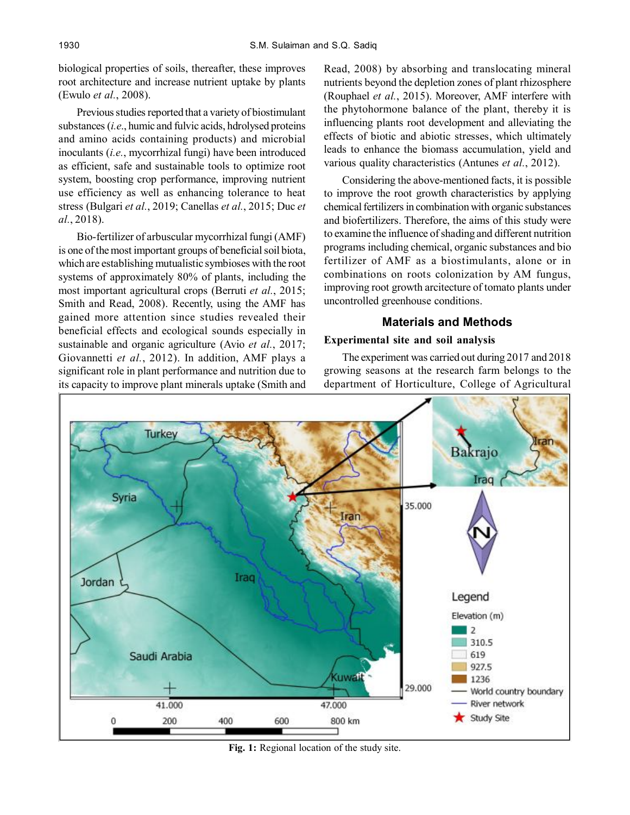biological properties of soils, thereafter, these improves root architecture and increase nutrient uptake by plants (Ewulo *et al.*, 2008).

Previous studies reported that a variety of biostimulant substances (*i.e*., humic and fulvic acids, hdrolysed proteins and amino acids containing products) and microbial inoculants (*i.e.*, mycorrhizal fungi) have been introduced as efficient, safe and sustainable tools to optimize root system, boosting crop performance, improving nutrient use efficiency as well as enhancing tolerance to heat stress (Bulgari *et al.*, 2019; Canellas *et al.*, 2015; Duc *et al.*, 2018).

Bio-fertilizer of arbuscular mycorrhizal fungi (AMF) is one of the most important groups of beneficial soil biota, which are establishing mutualistic symbioses with the root systems of approximately 80% of plants, including the most important agricultural crops (Berruti *et al.*, 2015; Smith and Read, 2008). Recently, using the AMF has gained more attention since studies revealed their beneficial effects and ecological sounds especially in sustainable and organic agriculture (Avio *et al.*, 2017; Giovannetti *et al.*, 2012). In addition, AMF plays a significant role in plant performance and nutrition due to its capacity to improve plant minerals uptake (Smith and

Read, 2008) by absorbing and translocating mineral nutrients beyond the depletion zones of plant rhizosphere (Rouphael *et al.*, 2015). Moreover, AMF interfere with the phytohormone balance of the plant, thereby it is influencing plants root development and alleviating the effects of biotic and abiotic stresses, which ultimately leads to enhance the biomass accumulation, yield and various quality characteristics (Antunes *et al.*, 2012).

Considering the above-mentioned facts, it is possible to improve the root growth characteristics by applying chemical fertilizers in combination with organic substances and biofertilizers. Therefore, the aims of this study were to examine the influence of shading and different nutrition programs including chemical, organic substances and bio fertilizer of AMF as a biostimulants, alone or in combinations on roots colonization by AM fungus, improving root growth arcitecture of tomato plants under uncontrolled greenhouse conditions.

## **Materials and Methods**

## **Experimental site and soil analysis**

The experiment was carried out during 2017 and 2018 growing seasons at the research farm belongs to the department of Horticulture, College of Agricultural



**Fig. 1:** Regional location of the study site.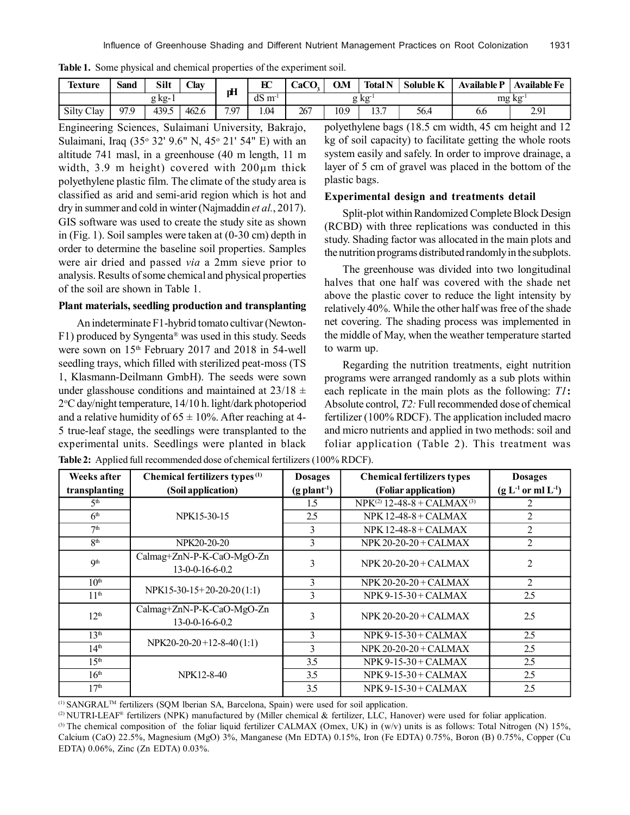| lexture    | $\sim$<br>Sand | Silt  | Clay  | рH                         | $_{\rm EC}$             | CaCO | O.M  | <b>Total N</b>  | Soluble K | <b>Available P</b> | <b>Available Fe</b> |
|------------|----------------|-------|-------|----------------------------|-------------------------|------|------|-----------------|-----------|--------------------|---------------------|
|            | g kg- i        |       |       |                            | dS<br>$m$ <sup>-1</sup> |      | g kg |                 |           | mg kg              |                     |
| Silty Clay | 97.9           | 439.5 | 462.6 | 797<br>$\cdot$ . $\cdot$ . | 1.04                    | 267  | 10.9 | 12.7<br>1 J . I | 56.4      | 6.0                | 2.91                |

**Table 1.** Some physical and chemical properties of the experiment soil.

Engineering Sciences, Sulaimani University, Bakrajo, Sulaimani, Iraq (35 32' 9.6" N, 45 21' 54" E) with an altitude 741 masl, in a greenhouse (40 m length, 11 m width,  $3.9$  m height) covered with  $200 \mu m$  thick polyethylene plastic film. The climate of the study area is classified as arid and semi-arid region which is hot and dry in summer and cold in winter (Najmaddin *et al.*, 2017). GIS software was used to create the study site as shown in (Fig. 1). Soil samples were taken at (0-30 cm) depth in order to determine the baseline soil properties. Samples were air dried and passed *via* a 2mm sieve prior to analysis. Results of some chemical and physical properties of the soil are shown in Table 1.

#### **Plant materials, seedling production and transplanting**

An indeterminate F1-hybrid tomato cultivar (Newton-F1) produced by Syngenta® was used in this study. Seeds were sown on 15th February 2017 and 2018 in 54-well seedling trays, which filled with sterilized peat-moss (TS 1, Klasmann-Deilmann GmbH). The seeds were sown under glasshouse conditions and maintained at  $23/18 \pm$ 2 C day/night temperature, 14/10 h. light/dark photoperiod and a relative humidity of  $65 \pm 10\%$ . After reaching at 4-5 true-leaf stage, the seedlings were transplanted to the experimental units. Seedlings were planted in black

polyethylene bags (18.5 cm width, 45 cm height and 12 kg of soil capacity) to facilitate getting the whole roots system easily and safely. In order to improve drainage, a layer of 5 cm of gravel was placed in the bottom of the plastic bags.

#### **Experimental design and treatments detail**

Split-plot within Randomized Complete Block Design (RCBD) with three replications was conducted in this study. Shading factor was allocated in the main plots and the nutrition programs distributed randomly in the subplots.

The greenhouse was divided into two longitudinal halves that one half was covered with the shade net above the plastic cover to reduce the light intensity by relatively 40%. While the other half was free of the shade net covering. The shading process was implemented in the middle of May, when the weather temperature started to warm up.

Regarding the nutrition treatments, eight nutrition programs were arranged randomly as a sub plots within each replicate in the main plots as the following: *T1***:** Absolute control, *T2:* Full recommended dose of chemical fertilizer (100% RDCF). The application included macro and micro nutrients and applied in two methods: soil and foliar application (Table 2). This treatment was

| <b>Weeks after</b> | Chemical fertilizers types <sup>(1)</sup>      | <b>Dosages</b>             | <b>Chemical fertilizers types</b>           | <b>Dosages</b>      |
|--------------------|------------------------------------------------|----------------------------|---------------------------------------------|---------------------|
| transplanting      | (Soil application)                             | $(g$ plant <sup>-1</sup> ) | (Foliar application)                        | $(g L-1 or ml L-1)$ |
| 5 <sup>th</sup>    |                                                | 1.5                        | $NPK^{(2)}$ 12-48-8 + CALMAX <sup>(3)</sup> | $\mathfrak{D}$      |
| 6 <sup>th</sup>    | NPK15-30-15                                    | 2.5                        | $NPK$ 12-48-8 + CALMAX                      | 2                   |
| 7 <sup>th</sup>    |                                                | 3                          | $NPK 12-48-8 + CALMAX$                      | 2                   |
| 8 <sup>th</sup>    | NPK20-20-20                                    | 3                          | $NPK 20-20-20+CALMAX$                       | 2                   |
| Q <sup>th</sup>    | Calmag+ZnN-P-K-CaO-MgO-Zn<br>13-0-0-16-6-0.2   | 3                          | $NPK 20-20-20+CALMAX$                       | $\mathfrak{D}$      |
| 10 <sup>th</sup>   |                                                | 3                          | $NPK 20-20-20+CALMAX$                       | $\mathfrak{D}$      |
| 11 <sup>th</sup>   | $NPK15-30-15+20-20-20(1:1)$                    | 3                          | $NPK 9-15-30 + CALMAX$                      | 2.5                 |
| 12 <sup>th</sup>   | Calmag+ZnN-P-K-CaO-MgO-Zn<br>$13-0-0-16-6-0.2$ | 3                          | NPK $20-20-20+CAIMAX$                       | 2.5                 |
| 13 <sup>th</sup>   |                                                | 3                          | $NPK 9-15-30 + CALMAX$                      | 2.5                 |
| 14 <sup>th</sup>   | $NPK20-20-20+12-8-40(1:1)$                     | 3                          | $NPK 20-20-20+CALMAX$                       | 2.5                 |
| 15 <sup>th</sup>   |                                                | 3.5                        | $NPK 9-15-30 + CALMAX$                      | 2.5                 |
| 16 <sup>th</sup>   | NPK12-8-40                                     | 3.5                        | $NPK 9-15-30 + CALMAX$                      | 2.5                 |
| 17 <sup>th</sup>   |                                                | 3.5                        | $NPK 9-15-30 + CALMAX$                      | 2.5                 |

**Table 2:** Applied full recommended dose of chemical fertilizers (100% RDCF).

(1) SANGRALTM fertilizers (SQM lberian SA, Barcelona, Spain) were used for soil application.

<sup>(2)</sup> NUTRI-LEAF<sup>®</sup> fertilizers (NPK) manufactured by (Miller chemical & fertilizer, LLC, Hanover) were used for foliar application. (3) The chemical composition of the foliar liquid fertilizer CALMAX (Omex, UK) in  $(w/v)$  units is as follows: Total Nitrogen (N) 15%,

Calcium (CaO) 22.5%, Magnesium (MgO) 3%, Manganese (Mn EDTA) 0.15%, Iron (Fe EDTA) 0.75%, Boron (B) 0.75%, Copper (Cu EDTA) 0.06%, Zinc (Zn EDTA) 0.03%.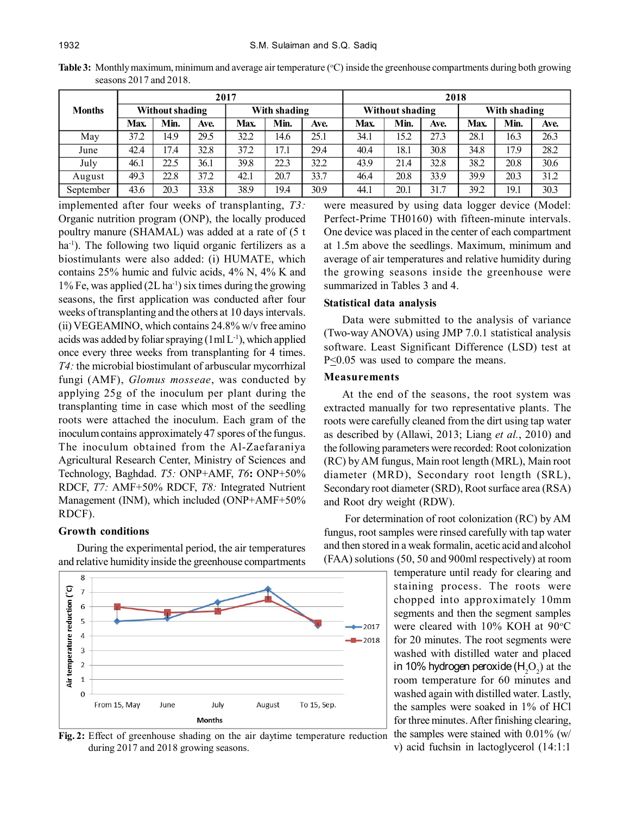**Table 3:** Monthly maximum, minimum and average air temperature (°C) inside the greenhouse compartments during both growing seasons 2017 and 2018.

|               |                 |      |      | 2017         |      |      | 2018                   |      |      |              |      |      |
|---------------|-----------------|------|------|--------------|------|------|------------------------|------|------|--------------|------|------|
| <b>Months</b> | Without shading |      |      | With shading |      |      | <b>Without shading</b> |      |      | With shading |      |      |
|               | Max.            | Min. | Ave. | Max.         | Min. | Ave. | Max.                   | Min. | Ave. | Max.         | Min. | Ave. |
| May           | 37.2            | 14.9 | 29.5 | 32.2         | 14.6 | 25.1 | 34.1                   | 15.2 | 27.3 | 28.1         | 16.3 | 26.3 |
| June          | 42.4            | 17.4 | 32.8 | 37.2         | 17.1 | 29.4 | 40.4                   | 18.1 | 30.8 | 34.8         | 17.9 | 28.2 |
| July          | 46.1            | 22.5 | 36.1 | 39.8         | 22.3 | 32.2 | 43.9                   | 21.4 | 32.8 | 38.2         | 20.8 | 30.6 |
| August        | 49.3            | 22.8 | 37.2 | 42.1         | 20.7 | 33.7 | 46.4                   | 20.8 | 33.9 | 39.9         | 20.3 | 31.2 |
| September     | 43.6            | 20.3 | 33.8 | 38.9         | 19.4 | 30.9 | 44.1                   | 20.1 | 31.7 | 39.2         | 19.1 | 30.3 |

implemented after four weeks of transplanting, *T3:* Organic nutrition program (ONP), the locally produced poultry manure (SHAMAL) was added at a rate of (5 t ha<sup>-1</sup>). The following two liquid organic fertilizers as a biostimulants were also added: (i) HUMATE, which contains 25% humic and fulvic acids, 4% N, 4% K and 1% Fe, was applied  $(2L \, ha^{-1})$  six times during the growing seasons, the first application was conducted after four weeks of transplanting and the others at 10 days intervals. (ii) VEGEAMINO, which contains 24.8% w/v free amino acids was added by foliar spraying  $(1 \text{ ml } L^{-1})$ , which applied once every three weeks from transplanting for 4 times. *T4:* the microbial biostimulant of arbuscular mycorrhizal fungi (AMF), *Glomus mosseae*, was conducted by applying 25g of the inoculum per plant during the transplanting time in case which most of the seedling roots were attached the inoculum. Each gram of the inoculum contains approximately 47 spores of the fungus. The inoculum obtained from the Al-Zaefaraniya Agricultural Research Center, Ministry of Sciences and Technology, Baghdad. *T5:* ONP+AMF, *T6***:** ONP+50% RDCF, *T7:* AMF+50% RDCF, *T8:* Integrated Nutrient Management (INM), which included (ONP+AMF+50% RDCF).

#### **Growth conditions**

During the experimental period, the air temperatures and relative humidity inside the greenhouse compartments



**Fig. 2:** Effect of greenhouse shading on the air daytime temperature reduction during 2017 and 2018 growing seasons.

were measured by using data logger device (Model: Perfect-Prime TH0160) with fifteen-minute intervals. One device was placed in the center of each compartment at 1.5m above the seedlings. Maximum, minimum and average of air temperatures and relative humidity during the growing seasons inside the greenhouse were summarized in Tables 3 and 4.

#### **Statistical data analysis**

Data were submitted to the analysis of variance (Two-way ANOVA) using JMP 7.0.1 statistical analysis software. Least Significant Difference (LSD) test at P<0.05 was used to compare the means.

#### **Measurements**

At the end of the seasons, the root system was extracted manually for two representative plants. The roots were carefully cleaned from the dirt using tap water as described by (Allawi, 2013; Liang *et al.*, 2010) and the following parameters were recorded: Root colonization (RC) by AM fungus, Main root length (MRL), Main root diameter (MRD), Secondary root length (SRL), Secondary root diameter (SRD), Root surface area (RSA) and Root dry weight (RDW).

 For determination of root colonization (RC) by AM fungus, root samples were rinsed carefully with tap water and then stored in a weak formalin, acetic acid and alcohol (FAA) solutions (50, 50 and 900ml respectively) at room

> temperature until ready for clearing and staining process. The roots were chopped into approximately 10mm segments and then the segment samples were cleared with 10% KOH at 90°C for 20 minutes. The root segments were washed with distilled water and placed in 10% hydrogen peroxide ( $\mathsf{H}_{\scriptscriptstyle{2}}\mathsf{O}_{\scriptscriptstyle{2}}$ ) at the room temperature for 60 minutes and washed again with distilled water. Lastly, the samples were soaked in 1% of HCl for three minutes. After finishing clearing, the samples were stained with 0.01% (w/ v) acid fuchsin in lactoglycerol (14:1:1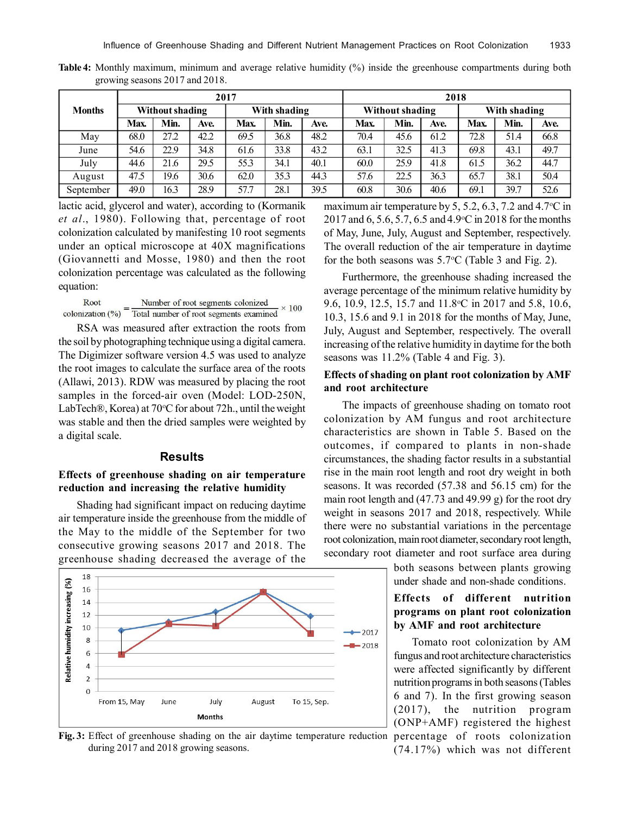|               |                 |      |      | 2017         |      |      | 2018                   |      |      |              |      |      |
|---------------|-----------------|------|------|--------------|------|------|------------------------|------|------|--------------|------|------|
| <b>Months</b> | Without shading |      |      | With shading |      |      | <b>Without shading</b> |      |      | With shading |      |      |
|               | Max.            | Min. | Ave. | Max.         | Min. | Ave. | Max.                   | Min. | Ave. | Max.         | Min. | Ave. |
| May           | 68.0            | 27.2 | 42.2 | 69.5         | 36.8 | 48.2 | 70.4                   | 45.6 | 61.2 | 72.8         | 51.4 | 66.8 |
| June          | 54.6            | 22.9 | 34.8 | 61.6         | 33.8 | 43.2 | 63.1                   | 32.5 | 41.3 | 69.8         | 43.1 | 49.7 |
| July          | 44.6            | 21.6 | 29.5 | 55.3         | 34.1 | 40.1 | 60.0                   | 25.9 | 41.8 | 61.5         | 36.2 | 44.7 |
| August        | 47.5            | 19.6 | 30.6 | 62.0         | 35.3 | 44.3 | 57.6                   | 22.5 | 36.3 | 65.7         | 38.1 | 50.4 |
| September     | 49.0            | 16.3 | 28.9 | 57.7         | 28.1 | 39.5 | 60.8                   | 30.6 | 40.6 | 69.1         | 39.7 | 52.6 |

**Table 4:** Monthly maximum, minimum and average relative humidity (%) inside the greenhouse compartments during both growing seasons 2017 and 2018.

lactic acid, glycerol and water), according to (Kormanik *et al*., 1980). Following that, percentage of root colonization calculated by manifesting 10 root segments under an optical microscope at 40X magnifications (Giovannetti and Mosse, 1980) and then the root colonization percentage was calculated as the following equation:

Root Number of root segments colonized  $\times 100$ Total number of root segments examined colonization  $(\% )$ 

RSA was measured after extraction the roots from the soil by photographing technique using a digital camera. The Digimizer software version 4.5 was used to analyze the root images to calculate the surface area of the roots (Allawi, 2013). RDW was measured by placing the root samples in the forced-air oven (Model: LOD-250N, LabTech®, Korea) at 70°C for about 72h., until the weight was stable and then the dried samples were weighted by a digital scale.

#### **Results**

## **Effects of greenhouse shading on air temperature reduction and increasing the relative humidity**

Shading had significant impact on reducing daytime air temperature inside the greenhouse from the middle of the May to the middle of the September for two consecutive growing seasons 2017 and 2018. The greenhouse shading decreased the average of the



**Fig. 3:** Effect of greenhouse shading on the air daytime temperature reduction during 2017 and 2018 growing seasons.

maximum air temperature by 5, 5.2, 6.3, 7.2 and 4.7 $\rm{°C}$  in 2017 and 6, 5.6, 5.7, 6.5 and 4.9 °C in 2018 for the months of May, June, July, August and September, respectively. The overall reduction of the air temperature in daytime for the both seasons was  $5.7^{\circ}$ C (Table 3 and Fig. 2).

Furthermore, the greenhouse shading increased the average percentage of the minimum relative humidity by 9.6, 10.9, 12.5, 15.7 and 11.8 °C in 2017 and 5.8, 10.6, 10.3, 15.6 and 9.1 in 2018 for the months of May, June, July, August and September, respectively. The overall increasing of the relative humidity in daytime for the both seasons was 11.2% (Table 4 and Fig. 3).

## **Effects of shading on plant root colonization by AMF and root architecture**

The impacts of greenhouse shading on tomato root colonization by AM fungus and root architecture characteristics are shown in Table 5. Based on the outcomes, if compared to plants in non-shade circumstances, the shading factor results in a substantial rise in the main root length and root dry weight in both seasons. It was recorded (57.38 and 56.15 cm) for the main root length and (47.73 and 49.99 g) for the root dry weight in seasons 2017 and 2018, respectively. While there were no substantial variations in the percentage root colonization, main root diameter, secondary root length, secondary root diameter and root surface area during

> both seasons between plants growing under shade and non-shade conditions.

# **Effects of different nutrition programs on plant root colonization by AMF and root architecture**

Tomato root colonization by AM fungus and root architecture characteristics were affected significantly by different nutrition programs in both seasons (Tables 6 and 7). In the first growing season (2017), the nutrition program (ONP+AMF) registered the highest percentage of roots colonization (74.17%) which was not different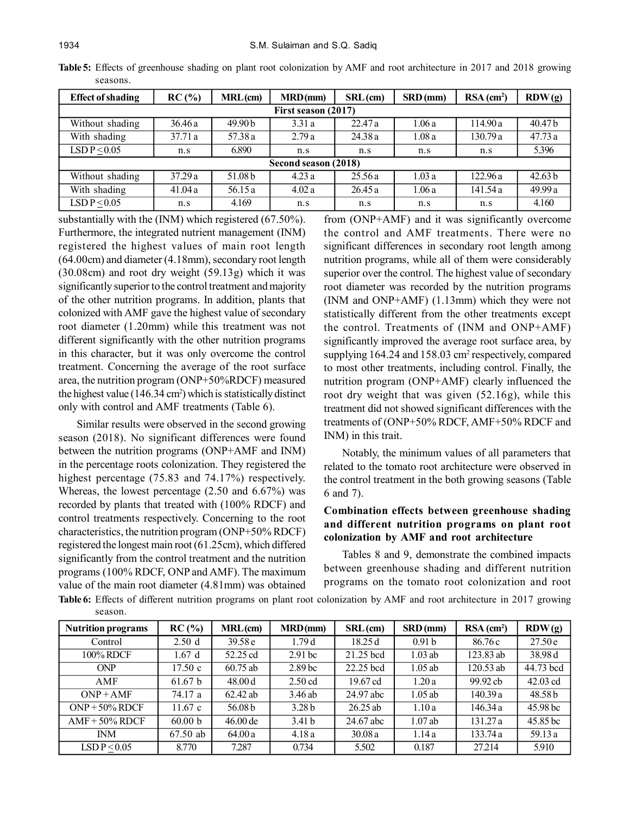| <b>Effect of shading</b> | RC(%)   | $MRL$ (cm) | <b>MRD(mm)</b>       | $SRL$ (cm) | $SRD$ (mm) | $RSA$ (cm <sup>2</sup> ) | RDW(g)             |  |  |  |  |  |
|--------------------------|---------|------------|----------------------|------------|------------|--------------------------|--------------------|--|--|--|--|--|
| First season (2017)      |         |            |                      |            |            |                          |                    |  |  |  |  |  |
| Without shading          | 36.46a  | 49.90b     | 3.31a                | 22.47a     | 1.06a      | 114.90a                  | 40.47 b            |  |  |  |  |  |
| With shading             | 37.71 a | 57.38 a    | 2.79a                | 24.38a     | 1.08a      | 130.79a                  | 47.73 a            |  |  |  |  |  |
| LSD $P < 0.05$           | n.s     | 6.890      | n.s                  | n.s        | n.s        | n.s                      | 5.396              |  |  |  |  |  |
|                          |         |            | Second season (2018) |            |            |                          |                    |  |  |  |  |  |
| Without shading          | 37.29a  | 51.08 b    | 4.23a                | 25.56a     | 1.03a      | 122.96a                  | 42.63 <sub>b</sub> |  |  |  |  |  |
| With shading             | 41.04a  | 56.15a     | 4.02a                | 26.45a     | 1.06a      | 141.54 a                 | 49.99 a            |  |  |  |  |  |
| LSD $P < 0.05$           | n.s     | 4.169      | n.s                  | n.s        | n.s        | n.s                      | 4.160              |  |  |  |  |  |

**Table 5:** Effects of greenhouse shading on plant root colonization by AMF and root architecture in 2017 and 2018 growing seasons.

substantially with the (INM) which registered (67.50%). Furthermore, the integrated nutrient management (INM) registered the highest values of main root length (64.00cm) and diameter (4.18mm), secondary root length (30.08cm) and root dry weight (59.13g) which it was significantly superior to the control treatment and majority of the other nutrition programs. In addition, plants that colonized with AMF gave the highest value of secondary root diameter (1.20mm) while this treatment was not different significantly with the other nutrition programs in this character, but it was only overcome the control treatment. Concerning the average of the root surface area, the nutrition program (ONP+50%RDCF) measured the highest value  $(146.34 \text{ cm}^2)$  which is statistically distinct only with control and AMF treatments (Table 6).

Similar results were observed in the second growing season (2018). No significant differences were found between the nutrition programs (ONP+AMF and INM) in the percentage roots colonization. They registered the highest percentage (75.83 and 74.17%) respectively. Whereas, the lowest percentage (2.50 and 6.67%) was recorded by plants that treated with (100% RDCF) and control treatments respectively. Concerning to the root characteristics, the nutrition program (ONP+50% RDCF) registered the longest main root (61.25cm), which differed significantly from the control treatment and the nutrition programs (100% RDCF, ONP and AMF). The maximum value of the main root diameter (4.81mm) was obtained from (ONP+AMF) and it was significantly overcome the control and AMF treatments. There were no significant differences in secondary root length among nutrition programs, while all of them were considerably superior over the control. The highest value of secondary root diameter was recorded by the nutrition programs (INM and ONP+AMF) (1.13mm) which they were not statistically different from the other treatments except the control. Treatments of (INM and ONP+AMF) significantly improved the average root surface area, by supplying 164.24 and 158.03 cm<sup>2</sup> respectively, compared to most other treatments, including control. Finally, the nutrition program (ONP+AMF) clearly influenced the root dry weight that was given (52.16g), while this treatment did not showed significant differences with the treatments of (ONP+50% RDCF, AMF+50% RDCF and INM) in this trait.

Notably, the minimum values of all parameters that related to the tomato root architecture were observed in the control treatment in the both growing seasons (Table 6 and 7).

## **Combination effects between greenhouse shading and different nutrition programs on plant root colonization by AMF and root architecture**

Tables 8 and 9, demonstrate the combined impacts between greenhouse shading and different nutrition programs on the tomato root colonization and root

**Table 6:** Effects of different nutrition programs on plant root colonization by AMF and root architecture in 2017 growing season.

| <b>Nutrition programs</b> | RC(%)             | MRL(cm)    | MRD(mm)            | $SRL$ (cm) | SRD(mm)           | $RSA$ (cm <sup>2</sup> ) | RDW(g)     |
|---------------------------|-------------------|------------|--------------------|------------|-------------------|--------------------------|------------|
| Control                   | 2.50 <sub>d</sub> | 39.58e     | 1.79 d             | 18.25d     | 0.91 <sub>b</sub> | 86.76 c                  | 27.50e     |
| 100% RDCF                 | 1.67d             | 52.25 cd   | 2.91 <sub>bc</sub> | 21.25 bcd  | $1.03$ ab         | 123.83 ab                | 38.98 d    |
| <b>ONP</b>                | 17.50c            | $60.75$ ab | 2.89 <sub>bc</sub> | 22.25 bcd  | $1.05$ ab         | 120.53 ab                | 44.73 bcd  |
| AMF                       | 61.67 b           | 48.00 d    | $2.50$ cd          | 19.67 cd   | 1.20a             | 99.92 cb                 | $42.03$ cd |
| $ONP + AMF$               | 74.17 a           | $62.42$ ab | 3.46ab             | 24.97 abc  | $1.05$ ab         | 140.39a                  | 48.58 b    |
| $ONP + 50\% RDCF$         | 11.67c            | 56.08 b    | 3.28 <sub>b</sub>  | $26.25$ ab | 1.10a             | 146.34 a                 | 45.98 bc   |
| $AMF + 50\% RDCF$         | 60.00 b           | $46.00$ de | 3.41 <sub>b</sub>  | 24.67 abc  | 1.07ab            | 131.27 a                 | 45.85 bc   |
| <b>INM</b>                | 67.50 ab          | 64.00a     | 4.18a              | 30.08a     | 1.14a             | 133.74 a                 | 59.13a     |
| LSD $P < 0.05$            | 8.770             | 7.287      | 0.734              | 5.502      | 0.187             | 27.214                   | 5.910      |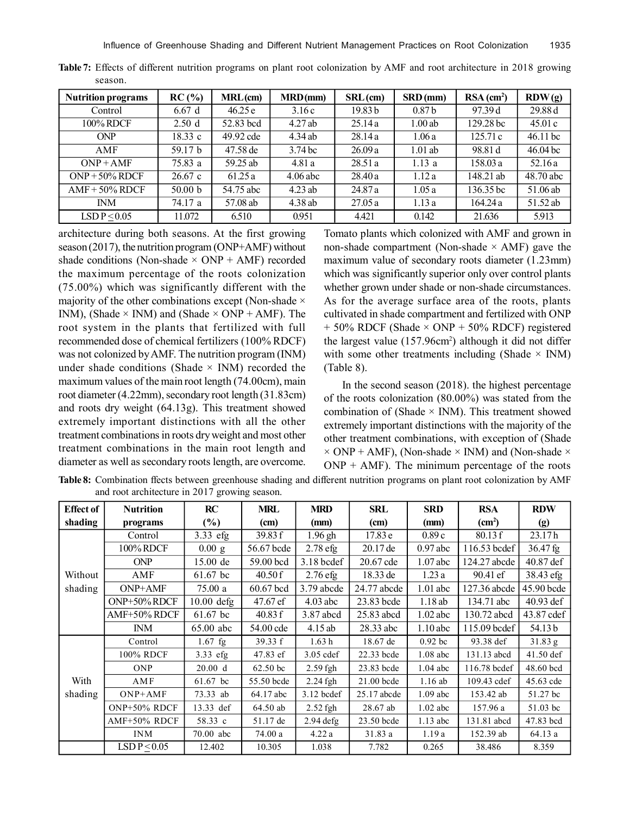| <b>Nutrition programs</b> | RC(%)   | MRL(cm)   | MRD(mm)            | $SRL$ (cm)         | $SRD$ (mm)        | $RSA$ (cm <sup>2</sup> ) | RDW(g)     |
|---------------------------|---------|-----------|--------------------|--------------------|-------------------|--------------------------|------------|
| Control                   | 6.67d   | 46.25e    | 3.16c              | 19.83 <sub>b</sub> | 0.87 <sub>b</sub> | 97.39 d                  | 29.88 d    |
| 100% RDCF                 | 2.50d   | 52.83 bcd | 4.27ab             | 25.14a             | 1.00ab            | 129.28 bc                | 45.01c     |
| <b>ONP</b>                | 18.33c  | 49.92 cde | 4.34ab             | 28.14a             | 1.06a             | 125.71c                  | $46.11$ bc |
| AMF                       | 59.17 b | 47.58 de  | 3.74 <sub>bc</sub> | 26.09a             | $1.01$ ab         | 98.81 d                  | 46.04 bc   |
| $ONP + AMF$               | 75.83 a | 59.25 ab  | 4.81a              | 28.51a             | 1.13a             | 158.03 a                 | 52.16a     |
| $ONP + 50\% RDCF$         | 26.67c  | 61.25a    | $4.06$ abc         | 28.40a             | 1.12a             | 148.21 ab                | 48.70 abc  |
| $AMF + 50\% RDCF$         | 50.00 b | 54.75 abc | $4.23$ ab          | 24.87 a            | 1.05a             | 136.35 bc                | 51.06 ab   |
| <b>INM</b>                | 74.17 a | 57.08 ab  | 4.38ab             | 27.05a             | 1.13a             | 164.24a                  | 51.52 ab   |
| LSD $P < 0.05$            | 11.072  | 6.510     | 0.951              | 4.421              | 0.142             | 21.636                   | 5.913      |

**Table 7:** Effects of different nutrition programs on plant root colonization by AMF and root architecture in 2018 growing season.

architecture during both seasons. At the first growing season (2017), the nutrition program (ONP+AMF) without shade conditions (Non-shade  $\times$  ONP + AMF) recorded the maximum percentage of the roots colonization (75.00%) which was significantly different with the majority of the other combinations except (Non-shade  $\times$ INM), (Shade  $\times$  INM) and (Shade  $\times$  ONP + AMF). The root system in the plants that fertilized with full recommended dose of chemical fertilizers (100% RDCF) was not colonized by AMF. The nutrition program (INM) under shade conditions (Shade  $\times$  INM) recorded the maximum values of the main root length (74.00cm), main root diameter (4.22mm), secondary root length (31.83cm) and roots dry weight (64.13g). This treatment showed extremely important distinctions with all the other treatment combinations in roots dry weight and most other treatment combinations in the main root length and diameter as well as secondary roots length, are overcome. Tomato plants which colonized with AMF and grown in non-shade compartment (Non-shade  $\times$  AMF) gave the maximum value of secondary roots diameter (1.23mm) which was significantly superior only over control plants whether grown under shade or non-shade circumstances. As for the average surface area of the roots, plants cultivated in shade compartment and fertilized with ONP  $+ 50\%$  RDCF (Shade  $\times$  ONP  $+ 50\%$  RDCF) registered the largest value (157.96cm<sup>2</sup>) although it did not differ with some other treatments including (Shade  $\times$  INM) (Table 8).

In the second season (2018). the highest percentage of the roots colonization (80.00%) was stated from the combination of (Shade  $\times$  INM). This treatment showed extremely important distinctions with the majority of the other treatment combinations, with exception of (Shade  $\times$  ONP + AMF), (Non-shade  $\times$  INM) and (Non-shade  $\times$  $ONP + AMF$ ). The minimum percentage of the roots

| Table 8: Combination ffects between greenhouse shading and different nutrition programs on plant root colonization by AMF |  |  |  |
|---------------------------------------------------------------------------------------------------------------------------|--|--|--|
| and root architecture in 2017 growing season.                                                                             |  |  |  |

| <b>Effect of</b> | <b>Nutrition</b>            | RC           | <b>MRL</b> | <b>MRD</b>   | <b>SRL</b>  | <b>SRD</b> | <b>RSA</b>         | <b>RDW</b>       |
|------------------|-----------------------------|--------------|------------|--------------|-------------|------------|--------------------|------------------|
| shading          | programs                    | $(\%)$       | (cm)       | (mm)         | (cm)        | (mm)       | (cm <sup>2</sup> ) | (g)              |
|                  | Control                     | $3.33$ efg   | 39.83 f    | $1.96$ gh    | 17.83 e     | 0.89c      | 80.13 f            | 23.17h           |
|                  | 100% RDCF                   | 0.00 g       | 56.67 bcde | $2.78$ efg   | $20.17$ de  | $0.97$ abc | $116.53$ bcdef     | 36.47 fg         |
|                  | <b>ONP</b>                  | 15.00 de     | 59.00 bcd  | $3.18$ bcdef | 20.67 cde   | $1.07$ abc | 124.27 abcde       | 40.87 def        |
| Without          | AMF                         | 61.67 bc     | 40.50f     | $2.76$ efg   | 18.33 de    | 1.23a      | 90.41 ef           | 38.43 efg        |
| shading          | ONP+AMF                     | 75.00 a      | 60.67 bcd  | 3.79 abcde   | 24.77 abcde | $1.01$ abc | 127.36 abcde       | 45.90 bcde       |
|                  | ONP+50% RDCF                | $10.00$ defg | 47.67 ef   | $4.03$ abc   | 23.83 bcde  | 1.18ab     | 134.71 abc         | 40.93 def        |
|                  | AMF+50% RDCF                | 61.67 bc     | 40.83 f    | 3.87 abcd    | 25.83 abcd  | $1.02$ abc | 130.72 abcd        | 43.87 cdef       |
|                  | <b>INM</b>                  | 65.00 abc    | 54.00 cde  | 4.15ab       | 28.33 abc   | $1.10$ abc | 115.09 bcdef       | 54.13 b          |
|                  | Control                     | $1.67$ fg    | 39.33 f    | 1.63h        | 18.67 de    | $0.92$ bc  | 93.38 def          | $31.83\text{ g}$ |
|                  | 100% RDCF                   | 3.33 efg     | 47.83 ef   | $3.05$ cdef  | 22.33 bcde  | $1.08$ abc | 131.13 abcd        | 41.50 def        |
|                  | <b>ONP</b>                  | 20.00 d      | 62.50 bc   | $2.59$ fgh   | 23.83 bcde  | $1.04$ abc | 116.78 bcdef       | 48.60 bcd        |
| With             | AMF                         | 61.67 bc     | 55.50 bcde | 2.24 fgh     | 21.00 bcde  | 1.16 ab    | 109.43 cdef        | 45.63 cde        |
| shading          | $ONP+AMF$                   | 73.33 ab     | 64.17 abc  | $3.12$ bcdef | 25.17 abcde | $1.09$ abc | 153.42 ab          | 51.27 bc         |
|                  | ONP+50% RDCF                | 13.33 def    | 64.50 ab   | $2.52$ fgh   | 28.67 ab    | $1.02$ abc | 157.96 a           | 51.03 bc         |
|                  | AMF+50% RDCF                | 58.33 c      | 51.17 de   | $2.94$ defg  | 23.50 bcde  | $1.13$ abc | 131.81 abcd        | 47.83 bcd        |
|                  | <b>INM</b>                  | 70.00 abc    | 74.00 a    | 4.22a        | 31.83 a     | 1.19a      | 152.39 ab          | 64.13 a          |
|                  | $\overline{LSDP} \leq 0.05$ | 12.402       | 10.305     | 1.038        | 7.782       | 0.265      | 38.486             | 8.359            |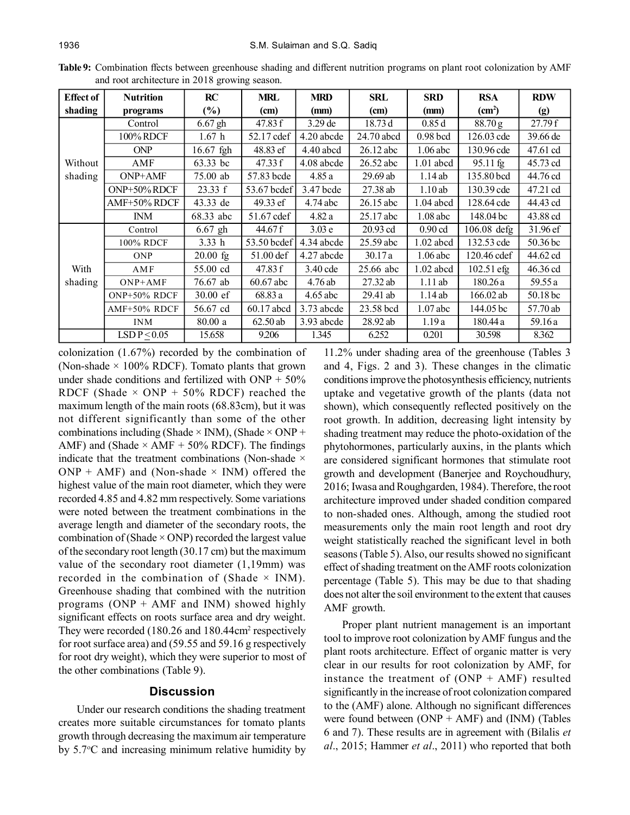| <b>Effect of</b> | <b>Nutrition</b> | RC                 | <b>MRL</b>  | <b>MRD</b>        | SRL         | <b>SRD</b>  | <b>RSA</b>          | <b>RDW</b> |
|------------------|------------------|--------------------|-------------|-------------------|-------------|-------------|---------------------|------------|
| shading          | programs         | $(\%)$             | (cm)        | (mm)              | (cm)        | (mm)        | (cm <sup>2</sup> )  | (g)        |
|                  | Control          | $6.67$ gh          | 47.83 f     | $3.29$ de         | 18.73d      | 0.85d       | $88.70\,\mathrm{g}$ | 27.79f     |
|                  | 100% RDCF        | 1.67 <sub>h</sub>  | 52.17 cdef  | 4.20 abcde        | 24.70 abcd  | $0.98$ bcd  | 126.03 cde          | 39.66 de   |
|                  | <b>ONP</b>       | 16.67 fgh          | 48.83 ef    | $4.40$ abcd       | $26.12$ abc | $1.06$ abc  | 130.96 cde          | 47.61 cd   |
| Without          | AMF              | 63.33 bc           | 47.33 f     | 4.08 abcde        | 26.52 abc   | $1.01$ abcd | 95.11 fg            | 45.73 cd   |
| shading          | ONP+AMF          | 75.00 ab           | 57.83 bcde  | 4.85a             | $29.69$ ab  | 1.14ab      | 135.80 bcd          | 44.76 cd   |
|                  | ONP+50% RDCF     | 23.33 f            | 53.67 bcdef | 3.47 bcde         | 27.38 ab    | 1.10ab      | 130.39 cde          | 47.21 cd   |
|                  | AMF+50% RDCF     | 43.33 de           | 49.33 ef    | 4.74 abc          | 26.15 abc   | 1.04 abcd   | 128.64 cde          | 44.43 cd   |
|                  | <b>INM</b>       | 68.33 abc          | 51.67 cdef  | 4.82a             | 25.17 abc   | $1.08$ abc  | 148.04 bc           | 43.88 cd   |
|                  | Control          | $6.67$ gh          | 44.67 f     | 3.03 <sub>e</sub> | $20.93$ cd  | $0.90$ cd   | 106.08 defg         | 31.96 ef   |
|                  | 100% RDCF        | 3.33h              | 53.50 bcdef | 4.34 abcde        | 25.59 abc   | $1.02$ abcd | 132.53 cde          | 50.36 bc   |
|                  | <b>ONP</b>       | $20.00$ fg         | 51.00 def   | 4.27 abcde        | 30.17a      | $1.06$ abc  | 120.46 cdef         | 44.62 cd   |
| With             | <b>AMF</b>       | 55.00 cd           | 47.83 f     | 3.40 cde          | 25.66 abc   | $1.02$ abcd | 102.51 efg          | 46.36 cd   |
| shading          | $ONP+AMF$        | 76.67 ab           | 60.67 abc   | 4.76ab            | $27.32$ ab  | $1.11$ ab   | 180.26a             | 59.55 a    |
|                  | ONP+50% RDCF     | $30.00 \text{ e}f$ | 68.83 a     | $4.65$ abc        | $29.41$ ab  | 1.14ab      | 166.02 ab           | 50.18 bc   |
|                  | AMF+50% RDCF     | 56.67 cd           | 60.17 abcd  | 3.73 abcde        | 23.58 bcd   | $1.07$ abc  | 144.05 bc           | 57.70 ab   |
|                  | <b>INM</b>       | 80.00 a            | $62.50$ ab  | 3.93 abcde        | 28.92 ab    | 1.19a       | 180.44 a            | 59.16 a    |
|                  | LSDP < 0.05      | 15.658             | 9.206       | 1.345             | 6.252       | 0.201       | 30.598              | 8.362      |

**Table 9:** Combination ffects between greenhouse shading and different nutrition programs on plant root colonization by AMF and root architecture in 2018 growing season.

colonization (1.67%) recorded by the combination of (Non-shade  $\times$  100% RDCF). Tomato plants that grown under shade conditions and fertilized with  $\text{ONP} + 50\%$ RDCF (Shade  $\times$  ONP + 50% RDCF) reached the maximum length of the main roots (68.83cm), but it was not different significantly than some of the other combinations including (Shade  $\times$  INM), (Shade  $\times$  ONP + AMF) and (Shade  $\times$  AMF + 50% RDCF). The findings indicate that the treatment combinations (Non-shade  $\times$  $ONP + AMF$ ) and (Non-shade  $\times$  INM) offered the highest value of the main root diameter, which they were recorded 4.85 and 4.82 mm respectively. Some variations were noted between the treatment combinations in the average length and diameter of the secondary roots, the combination of (Shade  $\times$  ONP) recorded the largest value of the secondary root length (30.17 cm) but the maximum value of the secondary root diameter (1,19mm) was recorded in the combination of (Shade  $\times$  INM). Greenhouse shading that combined with the nutrition programs (ONP + AMF and INM) showed highly significant effects on roots surface area and dry weight. They were recorded (180.26 and 180.44cm<sup>2</sup> respectively for root surface area) and (59.55 and 59.16 g respectively for root dry weight), which they were superior to most of the other combinations (Table 9).

## **Discussion**

Under our research conditions the shading treatment creates more suitable circumstances for tomato plants growth through decreasing the maximum air temperature by 5.7C and increasing minimum relative humidity by

11.2% under shading area of the greenhouse (Tables 3 and 4, Figs. 2 and 3). These changes in the climatic conditions improve the photosynthesis efficiency, nutrients uptake and vegetative growth of the plants (data not shown), which consequently reflected positively on the root growth. In addition, decreasing light intensity by shading treatment may reduce the photo-oxidation of the phytohormones, particularly auxins, in the plants which are considered significant hormones that stimulate root growth and development (Banerjee and Roychoudhury, 2016; Iwasa and Roughgarden, 1984). Therefore, the root architecture improved under shaded condition compared to non-shaded ones. Although, among the studied root measurements only the main root length and root dry weight statistically reached the significant level in both seasons (Table 5). Also, our results showed no significant effect of shading treatment on the AMF roots colonization percentage (Table 5). This may be due to that shading does not alter the soil environment to the extent that causes AMF growth.

Proper plant nutrient management is an important tool to improve root colonization by AMF fungus and the plant roots architecture. Effect of organic matter is very clear in our results for root colonization by AMF, for instance the treatment of  $(ONP + AMF)$  resulted significantly in the increase of root colonization compared to the (AMF) alone. Although no significant differences were found between  $(ONP + AMF)$  and  $(INM)$  (Tables 6 and 7). These results are in agreement with (Bilalis *et al*., 2015; Hammer *et al*., 2011) who reported that both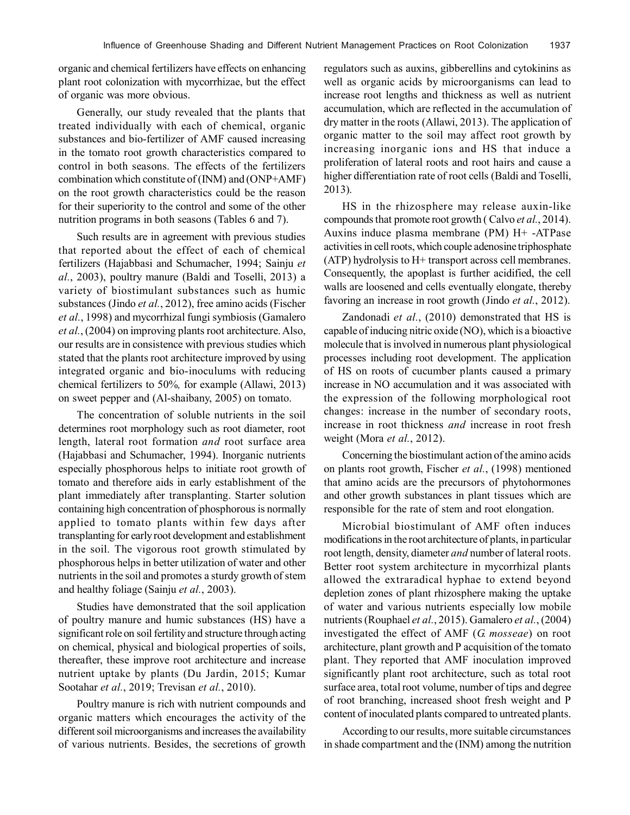organic and chemical fertilizers have effects on enhancing plant root colonization with mycorrhizae, but the effect of organic was more obvious.

Generally, our study revealed that the plants that treated individually with each of chemical, organic substances and bio-fertilizer of AMF caused increasing in the tomato root growth characteristics compared to control in both seasons. The effects of the fertilizers combination which constitute of (INM) and (ONP+AMF) on the root growth characteristics could be the reason for their superiority to the control and some of the other nutrition programs in both seasons (Tables 6 and 7).

Such results are in agreement with previous studies that reported about the effect of each of chemical fertilizers (Hajabbasi and Schumacher, 1994; Sainju *et al.*, 2003), poultry manure (Baldi and Toselli, 2013) a variety of biostimulant substances such as humic substances (Jindo *et al.*, 2012), free amino acids (Fischer *et al.*, 1998) and mycorrhizal fungi symbiosis (Gamalero *et al.*, (2004) on improving plants root architecture. Also, our results are in consistence with previous studies which stated that the plants root architecture improved by using integrated organic and bio-inoculums with reducing chemical fertilizers to 50%*,* for example (Allawi, 2013) on sweet pepper and (Al-shaibany, 2005) on tomato.

The concentration of soluble nutrients in the soil determines root morphology such as root diameter, root length, lateral root formation *and* root surface area (Hajabbasi and Schumacher, 1994). Inorganic nutrients especially phosphorous helps to initiate root growth of tomato and therefore aids in early establishment of the plant immediately after transplanting. Starter solution containing high concentration of phosphorous is normally applied to tomato plants within few days after transplanting for early root development and establishment in the soil. The vigorous root growth stimulated by phosphorous helps in better utilization of water and other nutrients in the soil and promotes a sturdy growth of stem and healthy foliage (Sainju *et al.*, 2003).

Studies have demonstrated that the soil application of poultry manure and humic substances (HS) have a significant role on soil fertility and structure through acting on chemical, physical and biological properties of soils, thereafter, these improve root architecture and increase nutrient uptake by plants (Du Jardin, 2015; Kumar Sootahar *et al.*, 2019; Trevisan *et al.*, 2010).

Poultry manure is rich with nutrient compounds and organic matters which encourages the activity of the different soil microorganisms and increases the availability of various nutrients. Besides, the secretions of growth regulators such as auxins, gibberellins and cytokinins as well as organic acids by microorganisms can lead to increase root lengths and thickness as well as nutrient accumulation, which are reflected in the accumulation of dry matter in the roots (Allawi, 2013). The application of organic matter to the soil may affect root growth by increasing inorganic ions and HS that induce a proliferation of lateral roots and root hairs and cause a higher differentiation rate of root cells (Baldi and Toselli, 2013).

HS in the rhizosphere may release auxin-like compounds that promote root growth ( Calvo *et al.*, 2014). Auxins induce plasma membrane (PM) H+ -ATPase activities in cell roots, which couple adenosine triphosphate (ATP) hydrolysis to H+ transport across cell membranes. Consequently, the apoplast is further acidified, the cell walls are loosened and cells eventually elongate, thereby favoring an increase in root growth (Jindo *et al.*, 2012).

Zandonadi *et al.*, (2010) demonstrated that HS is capable of inducing nitric oxide (NO), which is a bioactive molecule that is involved in numerous plant physiological processes including root development. The application of HS on roots of cucumber plants caused a primary increase in NO accumulation and it was associated with the expression of the following morphological root changes: increase in the number of secondary roots, increase in root thickness *and* increase in root fresh weight (Mora *et al.*, 2012).

Concerning the biostimulant action of the amino acids on plants root growth, Fischer *et al.*, (1998) mentioned that amino acids are the precursors of phytohormones and other growth substances in plant tissues which are responsible for the rate of stem and root elongation.

Microbial biostimulant of AMF often induces modifications in the root architecture of plants, in particular root length, density, diameter *and* number of lateral roots. Better root system architecture in mycorrhizal plants allowed the extraradical hyphae to extend beyond depletion zones of plant rhizosphere making the uptake of water and various nutrients especially low mobile nutrients (Rouphael *et al.*, 2015). Gamalero *et al.*, (2004) investigated the effect of AMF (*G. mosseae*) on root architecture, plant growth and P acquisition of the tomato plant. They reported that AMF inoculation improved significantly plant root architecture, such as total root surface area, total root volume, number of tips and degree of root branching, increased shoot fresh weight and P content of inoculated plants compared to untreated plants.

According to our results, more suitable circumstances in shade compartment and the (INM) among the nutrition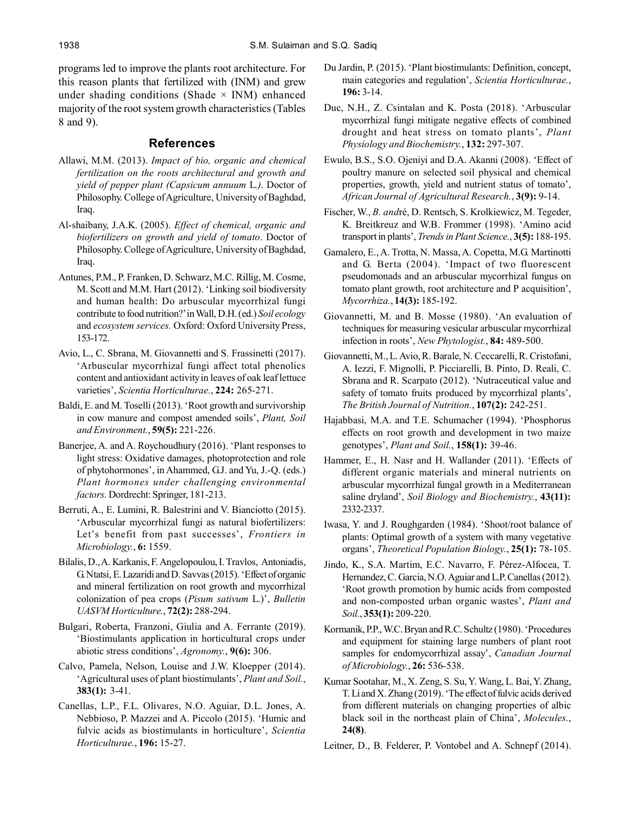programs led to improve the plants root architecture. For this reason plants that fertilized with (INM) and grew under shading conditions (Shade  $\times$  INM) enhanced majority of the root system growth characteristics (Tables 8 and 9).

## **References**

- Allawi, M.M. (2013). *Impact of bio, organic and chemical fertilization on the roots architectural and growth and yield of pepper plant (Capsicum annuum* L*.)*. Doctor of Philosophy. College of Agriculture, University of Baghdad, Iraq.
- Al-shaibany, J.A.K. (2005). *Effect of chemical, organic and biofertilizers on growth and yield of tomato*. Doctor of Philosophy. College of Agriculture, University of Baghdad, Iraq.
- Antunes, P.M., P. Franken, D. Schwarz, M.C. Rillig, M. Cosme, M. Scott and M.M. Hart (2012). 'Linking soil biodiversity and human health: Do arbuscular mycorrhizal fungi contribute to food nutrition?' in Wall, D.H. (ed.) *Soil ecology* and *ecosystem services.* Oxford: Oxford University Press, 153-172.
- Avio, L., C. Sbrana, M. Giovannetti and S. Frassinetti (2017). 'Arbuscular mycorrhizal fungi affect total phenolics content and antioxidant activity in leaves of oak leaf lettuce varieties', *Scientia Horticulturae.*, **224:** 265-271.
- Baldi, E. and M. Toselli (2013). 'Root growth and survivorship in cow manure and compost amended soils', *Plant, Soil and Environment.*, **59(5):** 221-226.
- Banerjee, A. and A. Roychoudhury (2016). 'Plant responses to light stress: Oxidative damages, photoprotection and role of phytohormones', in Ahammed, G.J. and Yu, J.-Q. (eds.) *Plant hormones under challenging environmental factors.* Dordrecht: Springer, 181-213.
- Berruti, A., E. Lumini, R. Balestrini and V. Bianciotto (2015). 'Arbuscular mycorrhizal fungi as natural biofertilizers: Let's benefit from past successes', *Frontiers in Microbiology.*, **6:** 1559.
- Bilalis, D., A. Karkanis, F. Angelopoulou, I. Travlos, Antoniadis, G. Ntatsi, E. Lazaridi and D. Savvas (2015). 'Effect of organic and mineral fertilization on root growth and mycorrhizal colonization of pea crops (*Pisum sativum* L.)', *Bulletin UASVM Horticulture.*, **72(2):** 288-294.
- Bulgari, Roberta, Franzoni, Giulia and A. Ferrante (2019). 'Biostimulants application in horticultural crops under abiotic stress conditions', *Agronomy.*, **9(6):** 306.
- Calvo, Pamela, Nelson, Louise and J.W. Kloepper (2014). 'Agricultural uses of plant biostimulants', *Plant and Soil.*, **383(1):** 3-41.
- Canellas, L.P., F.L. Olivares, N.O. Aguiar, D.L. Jones, A. Nebbioso, P. Mazzei and A. Piccolo (2015). 'Humic and fulvic acids as biostimulants in horticulture', *Scientia Horticulturae.*, **196:** 15-27.
- Du Jardin, P. (2015). 'Plant biostimulants: Definition, concept, main categories and regulation', *Scientia Horticulturae.*, **196:** 3-14.
- Duc, N.H., Z. Csintalan and K. Posta (2018). 'Arbuscular mycorrhizal fungi mitigate negative effects of combined drought and heat stress on tomato plants', *Plant Physiology and Biochemistry.*, **132:** 297-307.
- Ewulo, B.S., S.O. Ojeniyi and D.A. Akanni (2008). 'Effect of poultry manure on selected soil physical and chemical properties, growth, yield and nutrient status of tomato', *African Journal of Agricultural Research.*, **3(9):** 9-14.
- Fischer, W., *B. and*ré, D. Rentsch, S. Krolkiewicz, M. Tegeder, K. Breitkreuz and W.B. Frommer (1998). 'Amino acid transport in plants', *Trends in Plant Science.*, **3(5):** 188-195.
- Gamalero, E., A. Trotta, N. Massa, A. Copetta, M.G. Martinotti and G. Berta (2004). 'Impact of two fluorescent pseudomonads and an arbuscular mycorrhizal fungus on tomato plant growth, root architecture and P acquisition', *Mycorrhiza.*, **14(3):** 185-192.
- Giovannetti, M. and B. Mosse (1980). 'An evaluation of techniques for measuring vesicular arbuscular mycorrhizal infection in roots', *New Phytologist.*, **84:** 489-500.
- Giovannetti, M., L. Avio, R. Barale, N. Ceccarelli, R. Cristofani, A. Iezzi, F. Mignolli, P. Picciarelli, B. Pinto, D. Reali, C. Sbrana and R. Scarpato (2012). 'Nutraceutical value and safety of tomato fruits produced by mycorrhizal plants', *The British Journal of Nutrition.*, **107(2):** 242-251.
- Hajabbasi, M.A. and T.E. Schumacher (1994). 'Phosphorus effects on root growth and development in two maize genotypes', *Plant and Soil.*, **158(1):** 39-46.
- Hammer, E., H. Nasr and H. Wallander (2011). 'Effects of different organic materials and mineral nutrients on arbuscular mycorrhizal fungal growth in a Mediterranean saline dryland', *Soil Biology and Biochemistry.*, **43(11):** 2332-2337.
- Iwasa, Y. and J. Roughgarden (1984). 'Shoot/root balance of plants: Optimal growth of a system with many vegetative organs', *Theoretical Population Biology.*, **25(1):** 78-105.
- Jindo, K., S.A. Martim, E.C. Navarro, F. Pérez-Alfocea, T. Hernandez, C. Garcia, N.O. Aguiar and L.P. Canellas (2012). 'Root growth promotion by humic acids from composted and non-composted urban organic wastes', *Plant and Soil.*, **353(1):** 209-220.
- Kormanik, P.P., W.C. Bryan and R.C. Schultz (1980). 'Procedures and equipment for staining large numbers of plant root samples for endomycorrhizal assay', *Canadian Journal of Microbiology.*, **26:** 536-538.
- Kumar Sootahar, M., X. Zeng, S. Su, Y. Wang, L. Bai, Y. Zhang, T. Li and X. Zhang (2019). 'The effect of fulvic acids derived from different materials on changing properties of albic black soil in the northeast plain of China', *Molecules.*, **24(8)**.
- Leitner, D., B. Felderer, P. Vontobel and A. Schnepf (2014).